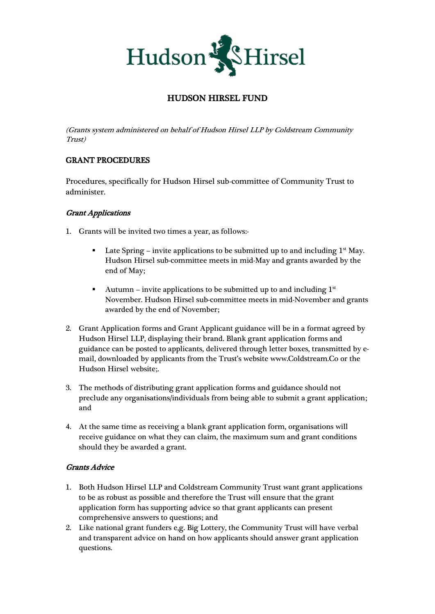

# HUDSON HIRSEL FUND

(Grants system administered on behalf of Hudson Hirsel LLP by Coldstream Community Trust)

## GRANT PROCEDURES

Procedures, specifically for Hudson Hirsel sub-committee of Community Trust to administer.

### Grant Applications

- 1. Grants will be invited two times a year, as follows:-
	- Late Spring invite applications to be submitted up to and including  $1<sup>st</sup>$  May. Hudson Hirsel sub-committee meets in mid-May and grants awarded by the end of May;
	- Autumn invite applications to be submitted up to and including  $1<sup>st</sup>$ November. Hudson Hirsel sub-committee meets in mid-November and grants awarded by the end of November;
- 2. Grant Application forms and Grant Applicant guidance will be in a format agreed by Hudson Hirsel LLP, displaying their brand. Blank grant application forms and guidance can be posted to applicants, delivered through letter boxes, transmitted by email, downloaded by applicants from the Trust's website [www.Coldstream.Co](http://www.coldstream.co/) or the Hudson Hirsel website;.
- 3. The methods of distributing grant application forms and guidance should not preclude any organisations/individuals from being able to submit a grant application; and
- 4. At the same time as receiving a blank grant application form, organisations will receive guidance on what they can claim, the maximum sum and grant conditions should they be awarded a grant.

### Grants Advice

- 1. Both Hudson Hirsel LLP and Coldstream Community Trust want grant applications to be as robust as possible and therefore the Trust will ensure that the grant application form has supporting advice so that grant applicants can present comprehensive answers to questions; and
- 2. Like national grant funders e,g. Big Lottery, the Community Trust will have verbal and transparent advice on hand on how applicants should answer grant application questions.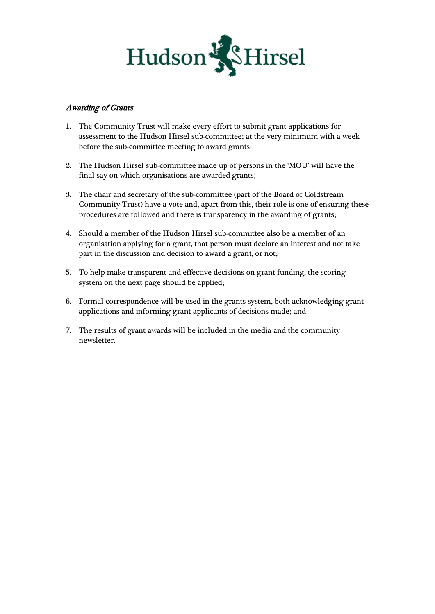

#### Awarding of Grants

- 1. The Community Trust will make every effort to submit grant applications for assessment to the Hudson Hirsel sub-committee; at the very minimum with a week before the sub-committee meeting to award grants;
- 2. The Hudson Hirsel sub-committee made up of persons in the 'MOU' will have the final say on which organisations are awarded grants;
- 3. The chair and secretary of the sub-committee (part of the Board of Coldstream Community Trust) have a vote and, apart from this, their role is one of ensuring these procedures are followed and there is transparency in the awarding of grants;
- 4. Should a member of the Hudson Hirsel sub-committee also be a member of an organisation applying for a grant, that person must declare an interest and not take part in the discussion and decision to award a grant, or not;
- 5. To help make transparent and effective decisions on grant funding, the scoring system on the next page should be applied;
- 6. Formal correspondence will be used in the grants system, both acknowledging grant applications and informing grant applicants of decisions made; and
- 7. The results of grant awards will be included in the media and the community newsletter.